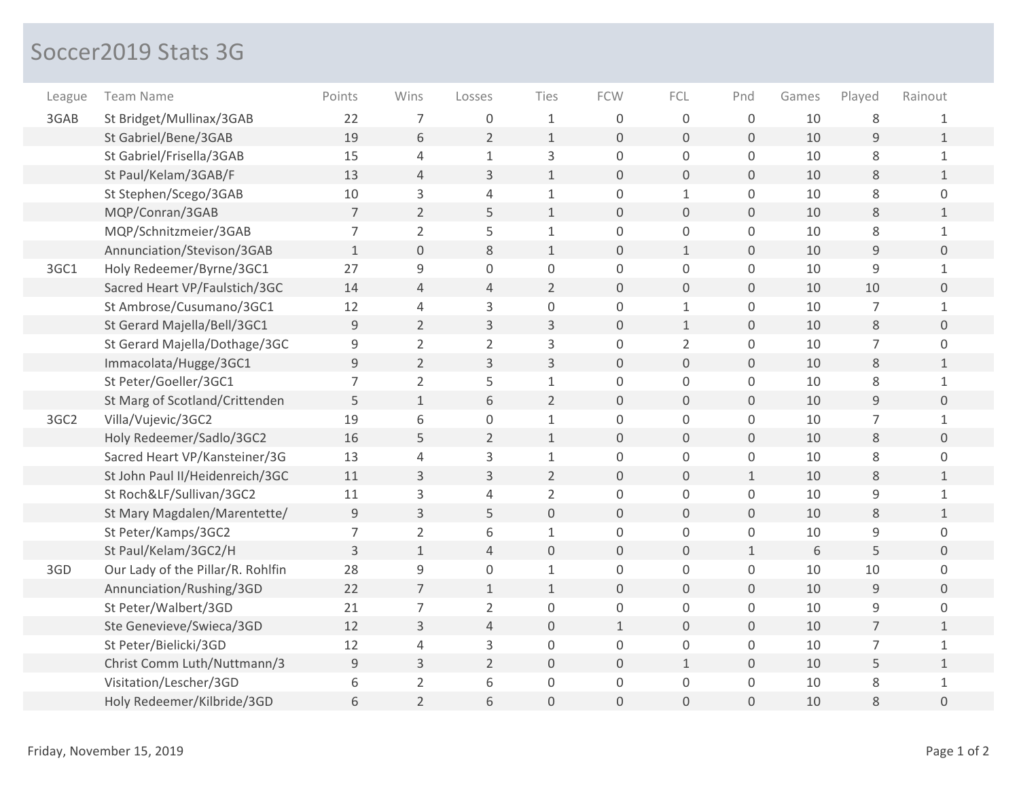## Soccer2019 Stats 3G

| League | <b>Team Name</b>                  | Points         | Wins                | Losses         | Ties                | <b>FCW</b>          | FCL                 | Pnd          | Games | Played         | Rainout             |
|--------|-----------------------------------|----------------|---------------------|----------------|---------------------|---------------------|---------------------|--------------|-------|----------------|---------------------|
| 3GAB   | St Bridget/Mullinax/3GAB          | 22             | $\overline{7}$      | 0              | $\mathbf 1$         | $\Omega$            | $\mathsf 0$         | $\mathbf 0$  | 10    | 8              | 1                   |
|        | St Gabriel/Bene/3GAB              | 19             | 6                   | $\overline{2}$ | $\mathbf 1$         | $\mathbf 0$         | $\mathbf 0$         | 0            | 10    | 9              | $\mathbf{1}$        |
|        | St Gabriel/Frisella/3GAB          | 15             | 4                   | $\mathbf{1}$   | 3                   | $\mathbf 0$         | $\mathsf 0$         | 0            | 10    | 8              | $\mathbf{1}$        |
|        | St Paul/Kelam/3GAB/F              | 13             | $\overline{4}$      | 3              | $\mathbf{1}$        | $\Omega$            | $\mathbf 0$         | 0            | 10    | 8              | $\mathbf{1}$        |
|        | St Stephen/Scego/3GAB             | 10             | 3                   | $\overline{4}$ | $\mathbf{1}$        | $\mathbf 0$         | $\mathbf{1}$        | 0            | 10    | 8              | $\overline{0}$      |
|        | MQP/Conran/3GAB                   | 7              | $\overline{2}$      | 5              | $\mathbf 1$         | $\mathbf 0$         | $\mathbf 0$         | 0            | 10    | $8\,$          | $\mathbf{1}$        |
|        | MQP/Schnitzmeier/3GAB             | $\overline{7}$ | $\overline{2}$      | 5              | $\mathbf{1}$        | $\mathsf 0$         | $\mathbf 0$         | 0            | 10    | 8              | $\mathbf{1}$        |
|        | Annunciation/Stevison/3GAB        | $\mathbf{1}$   | $\mathsf{O}\xspace$ | 8              | $\mathbf{1}$        | $\mathbf 0$         | $\mathbf{1}$        | 0            | 10    | $\overline{9}$ | $\overline{0}$      |
| 3GC1   | Holy Redeemer/Byrne/3GC1          | 27             | $\mathsf 9$         | $\overline{0}$ | $\mathsf{O}\xspace$ | $\mathsf{O}\xspace$ | $\mathsf 0$         | 0            | 10    | 9              | $\mathbf{1}$        |
|        | Sacred Heart VP/Faulstich/3GC     | 14             | $\overline{4}$      | $\sqrt{4}$     | $\overline{2}$      | $\mathsf{O}\xspace$ | $\mathsf{O}\xspace$ | 0            | 10    | 10             | $\overline{0}$      |
|        | St Ambrose/Cusumano/3GC1          | 12             | $\overline{4}$      | 3              | $\mathsf{O}\xspace$ | $\mathsf{O}\xspace$ | $\mathbf{1}$        | 0            | 10    | $\overline{7}$ | $\mathbf{1}$        |
|        | St Gerard Majella/Bell/3GC1       | 9              | $\overline{2}$      | 3              | 3                   | $\mathbf 0$         | $\mathbf{1}$        | 0            | 10    | $\,8\,$        | $\mathsf{O}\xspace$ |
|        | St Gerard Majella/Dothage/3GC     | 9              | $\overline{2}$      | $\overline{2}$ | 3                   | $\mathsf 0$         | $\overline{2}$      | 0            | 10    | $\overline{7}$ | 0                   |
|        | Immacolata/Hugge/3GC1             | 9              | $\overline{2}$      | 3              | $\mathsf{3}$        | $\mathsf{O}\xspace$ | $\mathbf 0$         | 0            | 10    | $8\,$          | $\mathbf{1}$        |
|        | St Peter/Goeller/3GC1             | $\overline{7}$ | $\overline{2}$      | 5              | $\mathbf{1}$        | $\mathbf 0$         | $\mathbf 0$         | $\mathsf{O}$ | 10    | 8              | $\mathbf{1}$        |
|        | St Marg of Scotland/Crittenden    | 5              | $\mathbf 1$         | 6              | $\overline{2}$      | $\mathbf{0}$        | $\mathsf{O}\xspace$ | 0            | 10    | 9              | $\mathsf{O}\xspace$ |
| 3GC2   | Villa/Vujevic/3GC2                | 19             | 6                   | $\mathbf 0$    | $\mathbf 1$         | $\mathsf 0$         | $\mathsf 0$         | 0            | 10    | $\overline{7}$ | $\mathbf{1}$        |
|        | Holy Redeemer/Sadlo/3GC2          | 16             | 5                   | $\overline{2}$ | $1\,$               | $\mathbf 0$         | $\overline{0}$      | 0            | 10    | $\,8\,$        | $\overline{0}$      |
|        | Sacred Heart VP/Kansteiner/3G     | 13             | $\overline{4}$      | 3              | $\mathbf 1$         | $\mathbf 0$         | $\mathsf 0$         | 0            | 10    | 8              | 0                   |
|        | St John Paul II/Heidenreich/3GC   | 11             | 3                   | 3              | $\overline{2}$      | $\mathbf 0$         | $\overline{0}$      | $\mathbf{1}$ | 10    | 8              | $\mathbf{1}$        |
|        | St Roch&LF/Sullivan/3GC2          | 11             | 3                   | $\overline{4}$ | $\overline{2}$      | $\mathbf 0$         | $\mathsf 0$         | 0            | 10    | $\mathsf 9$    | $\mathbf{1}$        |
|        | St Mary Magdalen/Marentette/      | 9              | 3                   | 5              | $\mathbf 0$         | $\mathbf 0$         | $\overline{0}$      | 0            | 10    | $8\,$          | $\mathbf{1}$        |
|        | St Peter/Kamps/3GC2               | $\overline{7}$ | $\overline{2}$      | 6              | $\mathbf{1}$        | $\mathbf 0$         | $\mathbf 0$         | 0            | 10    | 9              | 0                   |
|        | St Paul/Kelam/3GC2/H              | 3              | $\mathbf{1}$        | 4              | $\mathbf 0$         | $\mathbf 0$         | $\overline{0}$      | $\mathbf{1}$ | 6     | 5              | $\overline{0}$      |
| 3GD    | Our Lady of the Pillar/R. Rohlfin | 28             | 9                   | $\overline{0}$ | $\mathbf 1$         | 0                   | $\mathsf 0$         | 0            | 10    | 10             | $\overline{0}$      |
|        | Annunciation/Rushing/3GD          | 22             | $\overline{7}$      | $\mathbf{1}$   | $1\,$               | $\mathsf{O}\xspace$ | $\mathsf{O}\xspace$ | 0            | 10    | $\mathsf 9$    | $\overline{0}$      |
|        | St Peter/Walbert/3GD              | 21             | $\overline{7}$      | $\overline{2}$ | $\mathsf{O}\xspace$ | $\mathsf{O}\xspace$ | $\mathsf{O}$        | 0            | 10    | $\mathsf g$    | 0                   |
|        | Ste Genevieve/Swieca/3GD          | 12             | 3                   | $\overline{4}$ | $\mathsf{O}\xspace$ | $\mathbf{1}$        | $\mathsf{O}\xspace$ | 0            | 10    | $\overline{7}$ | $\mathbf{1}$        |
|        | St Peter/Bielicki/3GD             | 12             | $\overline{4}$      | 3              | $\mathsf{O}\xspace$ | $\mathsf 0$         | $\mathsf{O}$        | 0            | 10    | $\overline{7}$ | $\mathbf{1}$        |
|        | Christ Comm Luth/Nuttmann/3       | 9              | $\mathsf 3$         | $\overline{2}$ | $\mathbf 0$         | $\mathbf 0$         | $\mathbf{1}$        | 0            | 10    | 5              | $\mathbf{1}$        |
|        | Visitation/Lescher/3GD            | 6              | $\overline{2}$      | 6              | 0                   | $\mathbf 0$         | $\mathsf{O}$        | 0            | 10    | $\,8\,$        | $\mathbf{1}$        |
|        | Holy Redeemer/Kilbride/3GD        | 6              | $\overline{2}$      | 6              | $\mathsf{O}\xspace$ | $\mathbf 0$         | 0                   | 0            | 10    | 8              | 0                   |